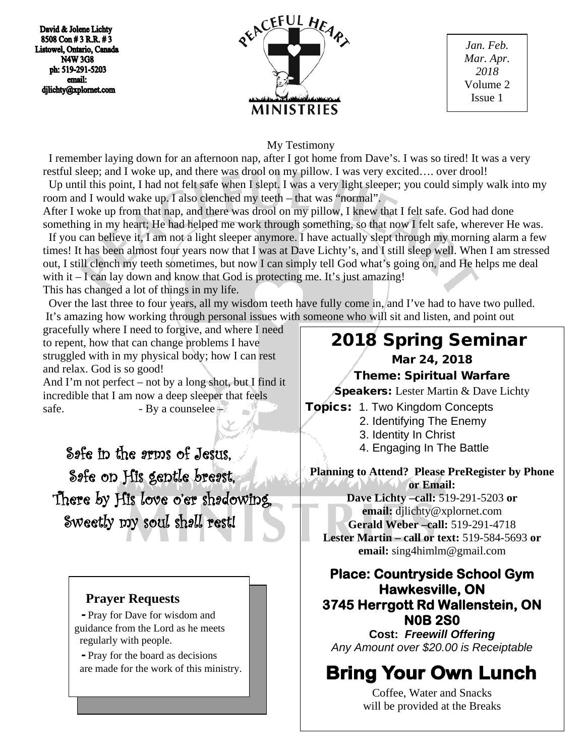David & Jolene Lichty 8508 Con #3 R.R. #3 Listowel, Ontario, Canada **N4W 3G8** ph: 519-291-5203 email: djlichty@xplornet.com



*Jan. Feb. Mar. Apr. 2018* Volume 2 Issue 1

#### My Testimony

 I remember laying down for an afternoon nap, after I got home from Dave's. I was so tired! It was a very restful sleep; and I woke up, and there was drool on my pillow. I was very excited…. over drool!

 Up until this point, I had not felt safe when I slept. I was a very light sleeper; you could simply walk into my room and I would wake up. I also clenched my teeth – that was "normal".

After I woke up from that nap, and there was drool on my pillow, I knew that I felt safe. God had done something in my heart; He had helped me work through something, so that now I felt safe, wherever He was. If you can believe it, I am not a light sleeper anymore. I have actually slept through my morning alarm a few

times! It has been almost four years now that I was at Dave Lichty's, and I still sleep well. When I am stressed out, I still clench my teeth sometimes, but now I can simply tell God what's going on, and He helps me deal with it  $-$  I can lay down and know that God is protecting me. It's just amazing! This has changed a lot of things in my life.

 Over the last three to four years, all my wisdom teeth have fully come in, and I've had to have two pulled. It's amazing how working through personal issues with someone who will sit and listen, and point out

gracefully where I need to forgive, and where I need to repent, how that can change problems I have struggled with in my physical body; how I can rest and relax. God is so good!

And I'm not perfect – not by a long shot, but I find it incredible that I am now a deep sleeper that feels safe.  $-$  By a counselee  $-$ 

 Safe in the arms of Jesus, Safe on His gentle breast, There by His love o'er shadowing, Sweetly my soul shall rest!

# **Prayer Requests**

 - Pray for Dave for wisdom and guidance from the Lord as he meets regularly with people.

 - Pray for the board as decisions are made for the work of this ministry.

# 2018 Spring Seminar

### Mar 24, 2018

#### Theme: Spiritual Warfare

**Speakers:** Lester Martin & Dave Lichty

- Topics: 1. Two Kingdom Concepts
	- 2. Identifying The Enemy
	- 3. Identity In Christ
	- 4. Engaging In The Battle

**Planning to Attend? Please PreRegister by Phone or Email: Dave Lichty –call:** 519-291-5203 **or email:** djlichty@xplornet.com **Gerald Weber –call:** 519-291-4718

**Lester Martin – call or text:** 519-584-5693 **or email:** sing4himlm@gmail.com

# **Place: Countryside School Gym Hawkesville, ON 3745 Herrgott Rd Wallenstein, ON N0B 2S0**

**Cost:** *Freewill Offering Any Amount over \$20.00 is Receiptable*

# **Bring Your Own Lunch**

Coffee, Water and Snacks will be provided at the Breaks